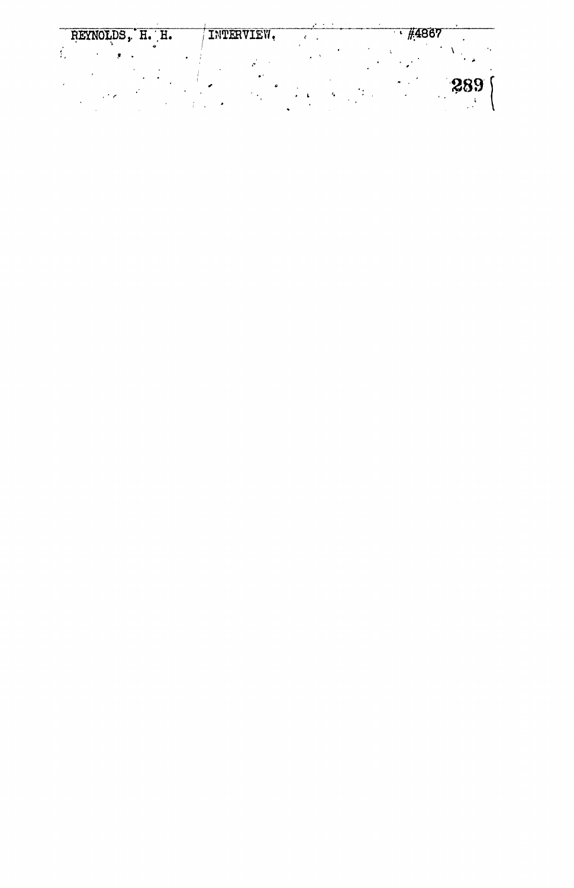| REYNOLDS, H. H. |  | INTERVIEW. | #4867 |     |  |
|-----------------|--|------------|-------|-----|--|
|                 |  |            |       |     |  |
|                 |  |            |       | 289 |  |
|                 |  |            |       |     |  |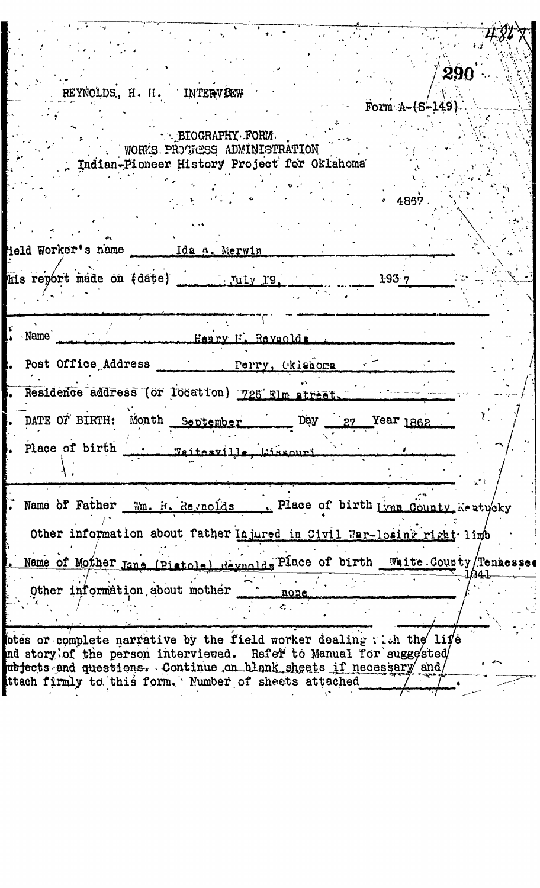|      | REYNOLDS, H. H. INTERVEEW                                                                                                                                              |                   |                                       | 290                    |  |
|------|------------------------------------------------------------------------------------------------------------------------------------------------------------------------|-------------------|---------------------------------------|------------------------|--|
|      | - BIOGRAPHY FORM.<br>WORKS PROGRESS ADMINISTRATION<br>Indian-Pioneer History Project for Oklahoma                                                                      |                   |                                       | Form $A - (S - 149)$ . |  |
|      |                                                                                                                                                                        |                   | 4867.                                 |                        |  |
|      |                                                                                                                                                                        |                   | 193.7                                 |                        |  |
| Name |                                                                                                                                                                        | Henry H. Reynolds |                                       |                        |  |
|      | Post Office Address <u>Perry</u> , Oklahoma 27<br>Residence address (or location) 726 Elm street, with the contract<br>DATE OF BIRTH: Month September Day 27 Year 1862 |                   |                                       |                        |  |
|      |                                                                                                                                                                        |                   |                                       |                        |  |
|      | Name of Father Mm. R. Reynolds<br>Other information about father Injured in Civil War-losing right limb                                                                |                   | . Place of birth Lynn County Kestycky |                        |  |
|      | Name of Mother Jane (Pistole) Reynolds Place of birth White County/Tenaesse<br>Other information, about mother                                                         | none<br>a.        |                                       |                        |  |
|      | otes or complete narrative by the field worker dealing with the life<br>ind story of the person interviewed. Refer to Manual for suggested                             |                   |                                       |                        |  |

 $\begin{aligned} \mathcal{L}_{\text{max}} = \frac{1}{2} \mathcal{L}_{\text{max}} \\ \mathcal{L}_{\text{max}} = \frac{1}{2} \mathcal{L}_{\text{max}} \\ \mathcal{L}_{\text{max}} = \frac{1}{2} \mathcal{L}_{\text{max}} \\ \mathcal{L}_{\text{max}} = \frac{1}{2} \mathcal{L}_{\text{max}} \\ \mathcal{L}_{\text{max}} = \frac{1}{2} \mathcal{L}_{\text{max}} \\ \mathcal{L}_{\text{max}} = \frac{1}{2} \mathcal{L}_{\text{max}} \\ \mathcal{L}_{\text{max}} = \frac{1}{2} \mathcal{L}_{\text{max$ 

 $\frac{1}{2}$ 

ubjects and questions. Continue on blank sheets if necessary and the firmly to this form. Number of sheets attached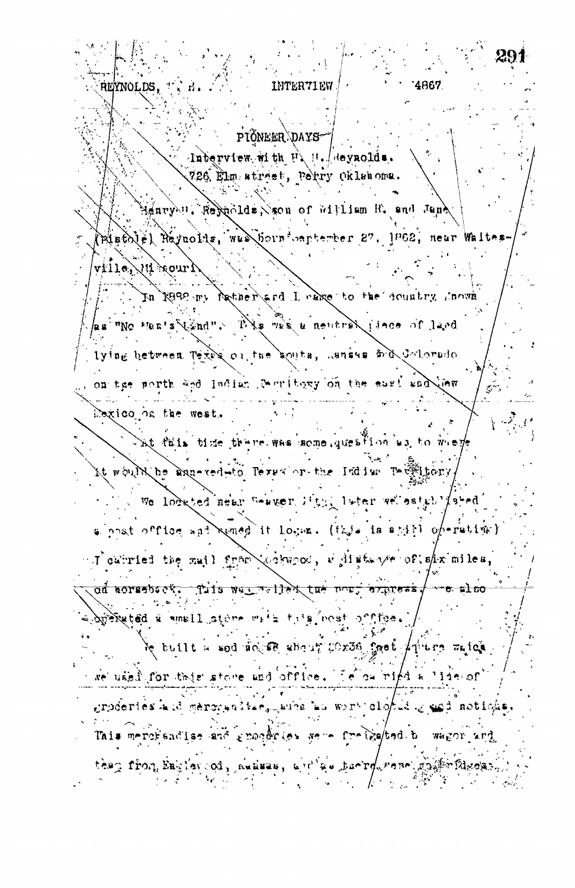4867. REYNOLDS. **INTER71EW** PIÓNEER DAYShaberview with U, H. Heynolds. 726 Elm atrost, Perry Oklahoma. tenry "Respecies Son of William R. and Jang (Pistole) Reynolds, was bornivertember 27, 1962, near Waltes- $\alpha$  ,  $\beta$  ,  $\beta$  ,  $\beta$  ,  $\alpha$  ,  $\alpha$ In R892 my father and I cake to the country Anoun as "No "ten's lind". This was a neutral idee of land lying hetwoon Texes on the south, suisse sid dolorado on the porth and Indian Derritory on the east suddies bexico on the west. This fails there there was some queation as to weep it would be agneveded leves or the Indian Termitory. We lookted near Weaver lity. later we established alpost office and samed it logan. (this is still operative) I calried the mail fram (originate, will stander of show miles od aorsebeck. Tils was a liex tue nort express  $\sqrt$  $-8.10$ breiteted a small store with this nost office. le prijit je sod nogled sport, Coxos Sash Aqirtis urich we used for this store and office. Le ow right a  $112.00$ groderies kid gerovanîtar, awas ku wort clopid gregi noticha Tais merchandlas and groephous were freigated to wagor and teap from Englascod, nummes, and as having reselection files かんぞう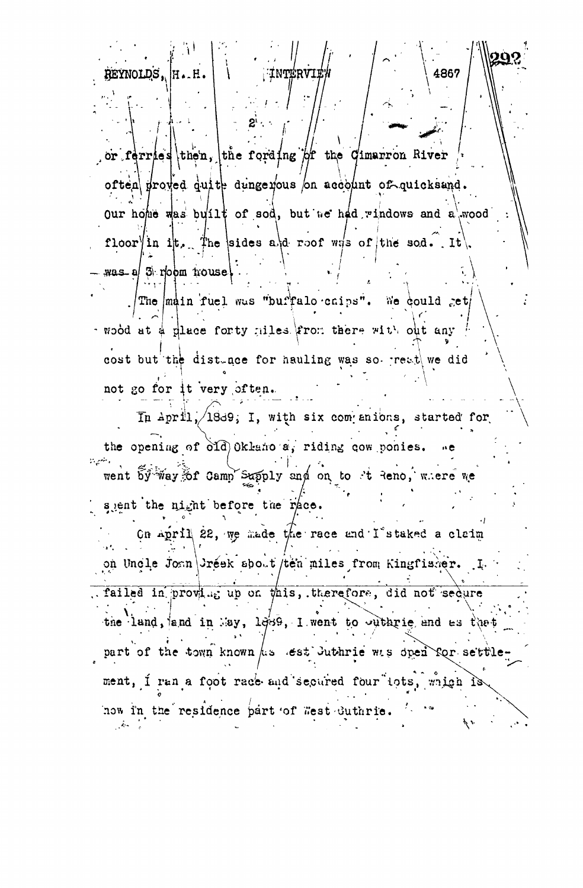or ferries then, the fording of the Cimarron River often proved quite dungerous on acceptut of quicksand. our home was built of sod, but we had windows and a wood floor in it. The sides a d roof wis of the sod. It  $\texttt{was}$  a/  $\texttt{3}$  room nouse

4867

REYNOLDS.

H.H

The main fuel was "buffalo caips". We could get wood at a place forty niles from there with out any cost but the distance for hauling was so reat we did not go for it very often.

In April,  $\sqrt{18d9}$ ; I, with six companions, started for the opening of old Oklaho a, riding cow ponies. went by way of Camp Supply and on to it Reno, where we spent the night before the race. On April 22, we made the race and I's taked a claim on Uncle Joan Gréek sbout/ten miles from Kingfisher. I. failed in proving up on this, therefore, did not sedure the land, and in May, 1889, I went to outbrie and as that part of the town known his lest Juthrie was open for settlement, I ran a foot race and secured four tots, which is now in the residence part of West Suthrie.  $\mathcal{L} = \mathcal{L}$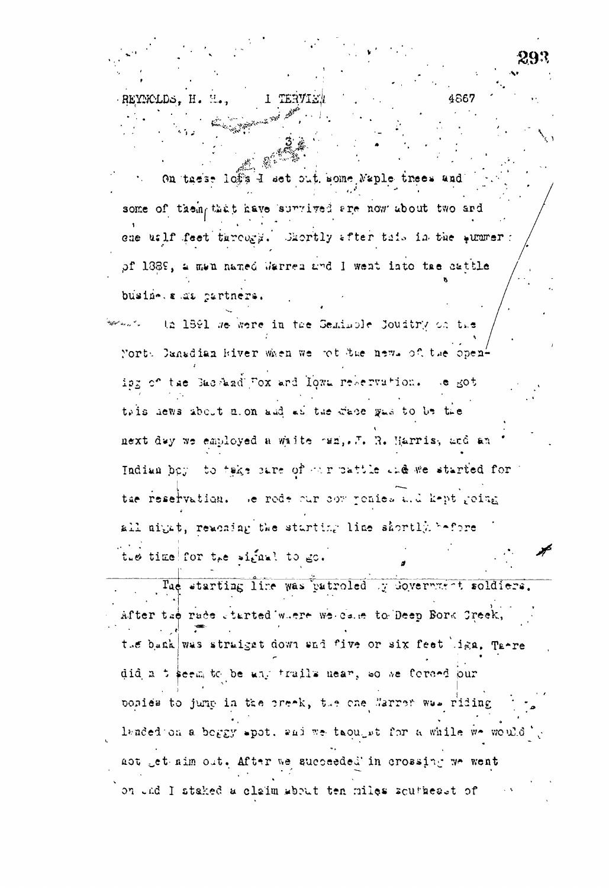4867 REYNCLDS. H. On these lof's I set out some Naple trees and some of them that have survived are now about two and ene uslf feet tureogy. Shortly after tais in the summer : of 1389, a men named Warren and I went into tae cattle busine. a as partners. th 1891 we were in the Seminole Joudtry on the .<br>Martin de la <sup>14</sup>a North Danadian Hiver when we got the news of the openisg of the Sac had Fox and Iown reservation. Se got tais hews about nion and as the wate gas to be the next day we employed a waite ran, ... R. Harris, and an Indian boy to take sare of our pattle and we started for ' tae reservation. We rede our compenies and kept geing all night, reaching the starting line shortly before the time for the signal to go. The starting line was patroled y doverment soldiers. After tae rade started where we cale to Deep Bork Greek, the bank was straiget down and five or six feet liga. There did a t seem to be any trails near, so we forced our bonies to jump in the preak, the one Narrer was riding landed on a boggy spot, and we take it for a while we would aot get aim out. After we succeeded in crossing we went on und I staked a claim about ten miles scutheast of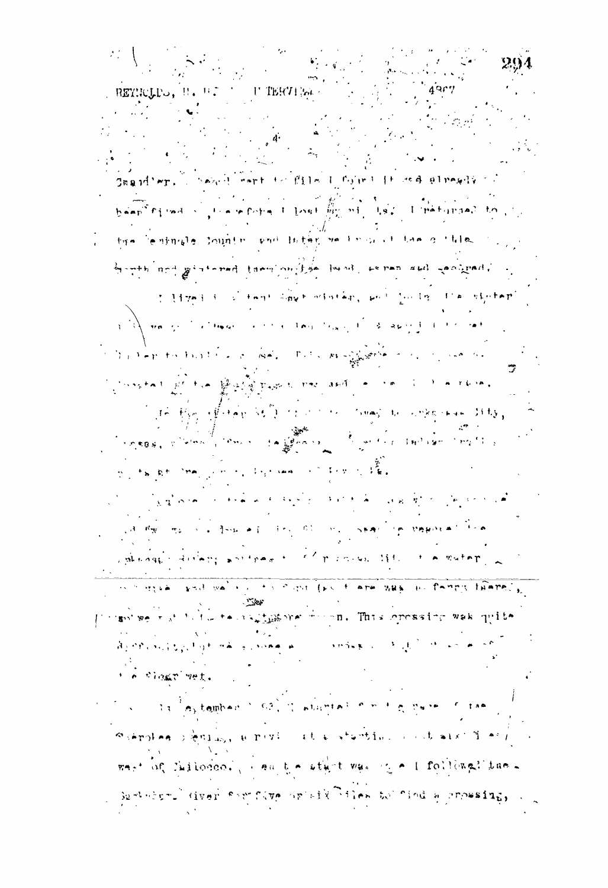$\left\langle \Gamma \right\rangle$ TERT1594 -RETHOLDS, H. H.T. T.  $\sim \exp\left\{ \left( \left\lceil \frac{1}{\log n} \right\rceil + \left\lceil \frac{1}{\log n} \right\rceil \right) \right\} = \left\{ \left\lceil \frac{1}{\log n} \right\rceil + \left\lceil \frac{1}{\log n} \right\rceil + \left\lceil \frac{1}{\log n} \right\rceil + \left\lceil \frac{1}{\log n} \right\rceil \right\}$ been find is therefore the last  $\frac{10}{1000}$  mining the limetimas? to prothe continuate sounter and inter-we have it has a think by with nod get at a rand to my fole loved, so ran and gasterad. T. Live I is a templo digger oriestan, and Junior I'm signification  $\label{eq:3.1} \mathbb{E}\left[\frac{1}{2}\right] = \frac{1}{2}\left(\frac{1}{2}\log\left(\frac{1}{2}\right)\right) \left(\frac{1}{2}\right) \left(\frac{1}{2}\log\left(\frac{1}{2}\right)\right)$ العقد المتاريخ والمهجرة أقرارهما المتعارف of the production for the same of the first of the same sign service of the company Constant of the property was not and a complete  $\left\langle \left\langle f\right|\widehat{\phi}\right\rangle \left\langle \widehat{\phi}\right|\widehat{\phi}\left\langle \widehat{\phi}\right|\widehat{\phi}\left\langle \widehat{\phi}\right|\widehat{\phi}\left\langle \widehat{\phi}\right|\widehat{\phi}\left\langle \widehat{\phi}\right|\widehat{\phi}\left\langle \widehat{\phi}\right|\widehat{\phi}\left\langle \widehat{\phi}\right|\widehat{\phi}\left\langle \widehat{\phi}\right|\widehat{\phi}\left\langle \widehat{\phi}\right|\widehat{\phi}\left\langle \widehat{\phi}\right|\widehat{\phi}\left\langle \widehat{\phi}\right|\widehat{\phi}\left\langle \widehat{\phi}\right|\widehat{\phi}\left\langle \widehat{\$ **SERVICE STATES OF THE SERVICE STATES OF THE SERVICE STATES OF THE SERVICE STATES OF THE SERVICE STATES OF THE SERVICE STATES OF THE SERVICE STATES OF THE SERVICE STATES OF THE SERVICE STATES OF THE SERVICE STATES OF THE S 李培大神神、大宗李子先生、李真。**  $p_{\alpha}$  talks in  $\frac{1}{2}$  $\sum_{\mathcal{N}_i \in \mathcal{N}_i} \mathcal{N}_i \mathcal{N}_i \mathcal{N}_i = \mathcal{N}_i \mathcal{N}_i \mathcal{N}_i \mathcal{N}_i \mathcal{N}_i \mathcal{N}_i \mathcal{N}_i \mathcal{N}_i \mathcal{N}_i \mathcal{N}_i \mathcal{N}_i \mathcal{N}_i \mathcal{N}_i \mathcal{N}_i \mathcal{N}_i \mathcal{N}_i \mathcal{N}_i \mathcal{N}_i \mathcal{N}_i \mathcal{N}_i \mathcal{N}_i \mathcal{N}_i \mathcal{N}_i \mathcal{N}_i \mathcal{N}_i \mathcal$ **The main of four was strip as a strain in proposition of the** sphenger arrangement of the country of the theorem. is a regular send was a joint of the finance was the famely thated, proposition we had the teacher of the control This opened to wak quite المستهجدة والمستعود فيرو ويتجيحوها المراجع الحراكي فارتجع ومؤجرة t e floar vet. Schroles ignize, a riving at a stantial contract in eviwast of Suilonco. I am the sturt was in a followal the Servicers (iver for flop or off flee to find a prossing,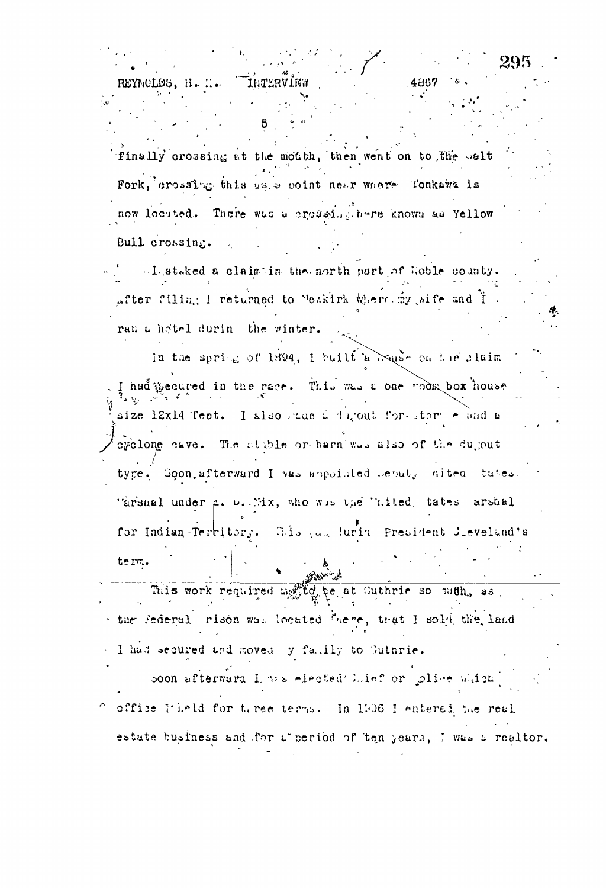finally crossing at the mouth, then went on to the salt Fork, crossing this uses point near where Tonkawa is now locuted. There was a crossing.here known as Yellow Bull crossing.

4867

INTERVIEN

REYNOLDS. H. H.

-I staked a claimtin tha north part of Hoble county. after filing I returned to Meakirk Where my wife and I. ran a hotel durin the winter.

In the spring of 1894, I built a house on the plaim had gecured in the race. This was a one mook box house size 12x14 feet. I also stue i digout forestor rand a cyclone cave. The stable or barn'was also of the dujout type. Soon afterward I was ampointed beputy nited tutes. "arsmal under h. D. Mix, who was the "aited, tates arshal for Indian-Territory. Whis and luring President Jieveland's term.

This work required method be at Suthrie so nuth, as the federal rison was located frere, that I sold the land I had secured and moved y family to Suthrie.

soon afterward I was elected Lief or plice which office Pileld for three terms. In 1906 I entered the real estate business and for a period of ten years, I was a realtor.